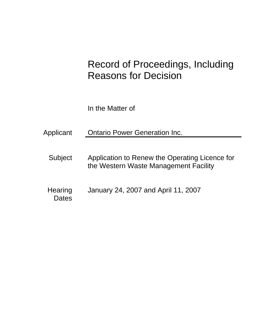# Record of Proceedings, Including Reasons for Decision

In the Matter of

Applicant **Ontario Power Generation Inc.** 

- Subject Application to Renew the Operating Licence for the Western Waste Management Facility
- **Hearing Dates** January 24, 2007 and April 11, 2007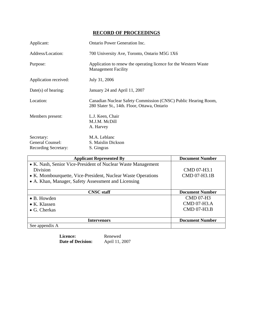# **RECORD OF PROCEEDINGS**

| Applicant:                                                    | <b>Ontario Power Generation Inc.</b>                                                                           |
|---------------------------------------------------------------|----------------------------------------------------------------------------------------------------------------|
| Address/Location:                                             | 700 University Ave, Toronto, Ontario M5G 1X6                                                                   |
| Purpose:                                                      | Application to renew the operating licence for the Western Waste<br><b>Management Facility</b>                 |
| Application received:                                         | July 31, 2006                                                                                                  |
| $Date(s)$ of hearing:                                         | January 24 and April 11, 2007                                                                                  |
| Location:                                                     | Canadian Nuclear Safety Commission (CNSC) Public Hearing Room,<br>280 Slater St., 14th. Floor, Ottawa, Ontario |
| Members present:                                              | L.J. Keen, Chair<br>M.J.M. McDill<br>A. Harvey                                                                 |
| Secretary:<br>General Counsel:<br><b>Recording Secretary:</b> | M.A. Leblanc<br>S. Maislin Dickson<br>S. Gingras                                                               |

| <b>Applicant Represented By</b>                              | <b>Document Number</b> |
|--------------------------------------------------------------|------------------------|
| • K. Nash, Senior Vice-President of Nuclear Waste Management |                        |
| Division                                                     | CMD 07-H3.1            |
| • K. Mombourquette, Vice-President, Nuclear Waste Operations | CMD 07-H3.1B           |
| • A. Khan, Manager, Safety Assessment and Licensing          |                        |
|                                                              |                        |
| <b>CNSC</b> staff                                            | <b>Document Number</b> |
| $\bullet$ B. Howden                                          | <b>CMD 07-H3</b>       |
| $\bullet$ K. Klassen                                         | <b>CMD 07-H3.A</b>     |
| $\bullet$ G. Cherkas                                         | <b>CMD 07-H3.B</b>     |
|                                                              |                        |
| <b>Intervenors</b>                                           | <b>Document Number</b> |
| See appendix A                                               |                        |

| Licence:          | Renewed        |
|-------------------|----------------|
| Date of Decision: | April 11, 2007 |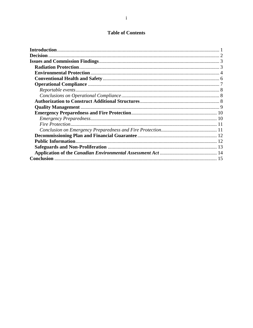## **Table of Contents**

| <b>Decision</b> |  |
|-----------------|--|
|                 |  |
|                 |  |
|                 |  |
|                 |  |
|                 |  |
|                 |  |
|                 |  |
|                 |  |
|                 |  |
|                 |  |
|                 |  |
|                 |  |
|                 |  |
|                 |  |
|                 |  |
|                 |  |
|                 |  |
|                 |  |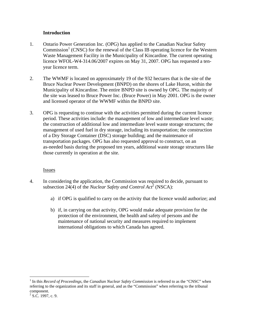#### **Introduction**

- 1. Ontario Power Generation Inc. (OPG) has applied to the Canadian Nuclear Safety  $Commission<sup>1</sup>$  (CNSC) for the renewal of the Class IB operating licence for the Western Waste Management Facility in the Municipality of Kincardine. The current operating licence WFOL-W4-314.06/2007 expires on May 31, 2007. OPG has requested a tenyear licence term.
- 2. The WWMF is located on approximately 19 of the 932 hectares that is the site of the Bruce Nuclear Power Development (BNPD) on the shores of Lake Huron, within the Municipality of Kincardine. The entire BNPD site is owned by OPG. The majority of the site was leased to Bruce Power Inc. (Bruce Power) in May 2001. OPG is the owner and licensed operator of the WWMF within the BNPD site.
- 3. OPG is requesting to continue with the activities permitted during the current licence period. These activities include: the management of low and intermediate level waste; the construction of additional low and intermediate level waste storage structures; the management of used fuel in dry storage, including its transportation; the construction of a Dry Storage Container (DSC) storage building; and the maintenance of transportation packages. OPG has also requested approval to construct, on an as-needed basis during the proposed ten years, additional waste storage structures like those currently in operation at the site.

#### Issues

- 4. In considering the application, the Commission was required to decide, pursuant to subsection 24(4) of the *Nuclear Safety and Control Act*<sup>2</sup> (NSCA):
	- a) if OPG is qualified to carry on the activity that the licence would authorize; and
	- b) if, in carrying on that activity, OPG would make adequate provision for the protection of the environment, the health and safety of persons and the maintenance of national security and measures required to implement international obligations to which Canada has agreed.

 $\overline{a}$ 

 $^1$  In this *Record of Proceedings*, the *Canadian Nuclear Safety Commission* is referred to as the "CNSC" when referring to the organization and its staff in general, and as the "Commission" when referring to the tribunal component.

 $2^2$  S.C. 1997, c. 9.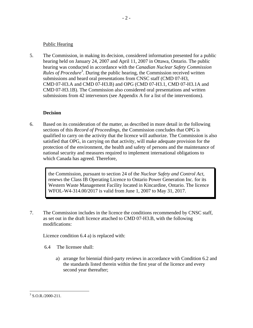#### Public Hearing

5. The Commission, in making its decision, considered information presented for a public hearing held on January 24, 2007 and April 11, 2007 in Ottawa, Ontario. The public hearing was conducted in accordance with the *Canadian Nuclear Safety Commission*  Rules of Procedure<sup>3</sup>. During the public hearing, the Commission received written submissions and heard oral presentations from CNSC staff (CMD 07-H3, CMD 07-H3.A and CMD 07-H3.B) and OPG (CMD 07-H3.1, CMD 07-H3.1A and CMD 07-H3.1B). The Commission also considered oral presentations and written submissions from 42 intervenors (see Appendix A for a list of the interventions).

#### **Decision**

6. Based on its consideration of the matter, as described in more detail in the following sections of this *Record of Proceedings*, the Commission concludes that OPG is qualified to carry on the activity that the licence will authorize. The Commission is also satisfied that OPG, in carrying on that activity, will make adequate provision for the protection of the environment, the health and safety of persons and the maintenance of national security and measures required to implement international obligations to which Canada has agreed. Therefore,

the Commission, pursuant to section 24 of the *Nuclear Safety and Control Act*, renews the Class IB Operating Licence to Ontario Power Generation Inc. for its Western Waste Management Facility located in Kincardine, Ontario. The licence WFOL-W4-314.00/2017 is valid from June 1, 2007 to May 31, 2017.

7. The Commission includes in the licence the conditions recommended by CNSC staff, as set out in the draft licence attached to CMD 07-H3.B, with the following modifications:

Licence condition 6.4 a) is replaced with:

- 6.4 The licensee shall:
	- a) arrange for biennial third-party reviews in accordance with Condition 6.2 and the standards listed therein within the first year of the licence and every second year thereafter;

 $\overline{a}$  $3$  S.O.R./2000-211.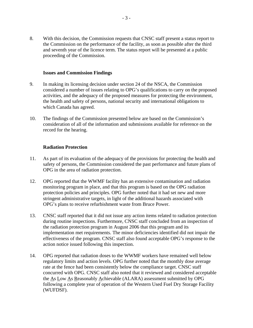8. With this decision, the Commission requests that CNSC staff present a status report to the Commission on the performance of the facility, as soon as possible after the third and seventh year of the licence term. The status report will be presented at a public proceeding of the Commission.

#### **Issues and Commission Findings**

- 9. In making its licensing decision under section 24 of the NSCA, the Commission considered a number of issues relating to OPG's qualifications to carry on the proposed activities, and the adequacy of the proposed measures for protecting the environment, the health and safety of persons, national security and international obligations to which Canada has agreed.
- 10. The findings of the Commission presented below are based on the Commission's consideration of all of the information and submissions available for reference on the record for the hearing.

#### **Radiation Protection**

- 11. As part of its evaluation of the adequacy of the provisions for protecting the health and safety of persons, the Commission considered the past performance and future plans of OPG in the area of radiation protection.
- 12. OPG reported that the WWMF facility has an extensive contamination and radiation monitoring program in place, and that this program is based on the OPG radiation protection policies and principles. OPG further noted that it had set new and more stringent administrative targets, in light of the additional hazards associated with OPG's plans to receive refurbishment waste from Bruce Power.
- 13. CNSC staff reported that it did not issue any action items related to radiation protection during routine inspections. Furthermore, CNSC staff concluded from an inspection of the radiation protection program in August 2006 that this program and its implementation met requirements. The minor deficiencies identified did not impair the effectiveness of the program. CNSC staff also found acceptable OPG's response to the action notice issued following this inspection.
- 14. OPG reported that radiation doses to the WWMF workers have remained well below regulatory limits and action levels. OPG further noted that the monthly dose average rate at the fence had been consistently below the compliance target. CNSC staff concurred with OPG. CNSC staff also noted that it reviewed and considered acceptable the As Low As Reasonably Achievable (ALARA) assessment submitted by OPG following a complete year of operation of the Western Used Fuel Dry Storage Facility (WUFDSF).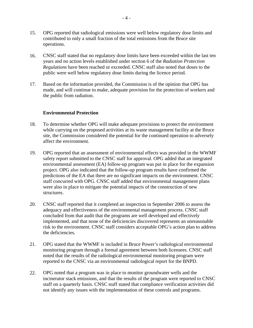- 15. OPG reported that radiological emissions were well below regulatory dose limits and contributed to only a small fraction of the total emissions from the Bruce site operations.
- 16. CNSC staff stated that no regulatory dose limits have been exceeded within the last ten years and no action levels established under section 6 of the *Radiation Protection Regulations* have been reached or exceeded. CNSC staff also noted that doses to the public were well below regulatory dose limits during the licence period.
- 17. Based on the information provided, the Commission is of the opinion that OPG has made, and will continue to make, adequate provision for the protection of workers and the public from radiation.

#### **Environmental Protection**

- 18. To determine whether OPG will make adequate provisions to protect the environment while carrying on the proposed activities at its waste management facility at the Bruce site, the Commission considered the potential for the continued operation to adversely affect the environment.
- 19. OPG reported that an assessment of environmental effects was provided in the WWMF safety report submitted to the CNSC staff for approval. OPG added that an integrated environmental assessment (EA) follow-up program was put in place for the expansion project. OPG also indicated that the follow-up program results have confirmed the predictions of the EA that there are no significant impacts on the environment. CNSC staff concurred with OPG. CNSC staff added that environmental management plans were also in place to mitigate the potential impacts of the construction of new structures.
- 20. CNSC staff reported that it completed an inspection in September 2006 to assess the adequacy and effectiveness of the environmental management process. CNSC staff concluded from that audit that the programs are well developed and effectively implemented, and that none of the deficiencies discovered represents an unreasonable risk to the environment. CNSC staff considers acceptable OPG's action plan to address the deficiencies.
- 21. OPG stated that the WWMF is included in Bruce Power's radiological environmental monitoring program through a formal agreement between both licensees. CNSC staff noted that the results of the radiological environmental monitoring program were reported to the CNSC via an environmental radiological report for the BNPD.
- 22. OPG noted that a program was in place to monitor groundwater wells and the incinerator stack emissions, and that the results of the program were reported to CNSC staff on a quarterly basis. CNSC staff stated that compliance verification activities did not identify any issues with the implementation of these controls and programs.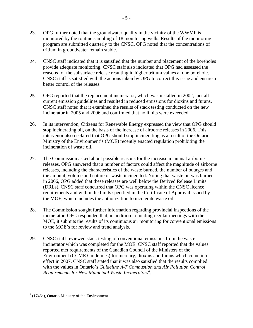- 23. OPG further noted that the groundwater quality in the vicinity of the WWMF is monitored by the routine sampling of 18 monitoring wells. Results of the monitoring program are submitted quarterly to the CNSC. OPG noted that the concentrations of tritium in groundwater remain stable.
- 24. CNSC staff indicated that it is satisfied that the number and placement of the boreholes provide adequate monitoring. CNSC staff also indicated that OPG had assessed the reasons for the subsurface release resulting in higher tritium values at one borehole. CNSC staff is satisfied with the actions taken by OPG to correct this issue and ensure a better control of the releases.
- 25. OPG reported that the replacement incinerator, which was installed in 2002, met all current emission guidelines and resulted in reduced emissions for dioxins and furans. CNSC staff noted that it examined the results of stack testing conducted on the new incinerator in 2005 and 2006 and confirmed that no limits were exceeded.
- 26. In its intervention, Citizens for Renewable Energy expressed the view that OPG should stop incinerating oil, on the basis of the increase of airborne releases in 2006. This intervenor also declared that OPG should stop incinerating as a result of the Ontario Ministry of the Environment's (MOE) recently enacted regulation prohibiting the incineration of waste oil.
- 27. The Commission asked about possible reasons for the increase in annual airborne releases. OPG answered that a number of factors could affect the magnitude of airborne releases, including the characteristics of the waste burned, the number of outages and the amount, volume and nature of waste incinerated. Noting that waste oil was burned in 2006, OPG added that these releases are well below the Derived Release Limits (DRLs). CNSC staff concurred that OPG was operating within the CNSC licence requirements and within the limits specified in the Certificate of Approval issued by the MOE, which includes the authorization to incinerate waste oil.
- 28. The Commission sought further information regarding provincial inspections of the incinerator. OPG responded that, in addition to holding regular meetings with the MOE, it submits the results of its continuous air monitoring for conventional emissions to the MOE's for review and trend analysis.
- 29. CNSC staff reviewed stack testing of conventional emissions from the waste incinerator which was completed for the MOE. CNSC staff reported that the values reported met requirements of the Canadian Council of the Ministers of the Environment (CCME Guidelines) for mercury, dioxins and furans which come into effect in 2007. CNSC staff stated that it was also satisfied that the results complied with the values in Ontario's *Guideline A-7 Combustion and Air Pollution Control*  Requirements for New Municipal Waste Incinerators<sup>4</sup>.

 $\overline{a}$  $4(1746e)$ , Ontario Ministry of the Environment.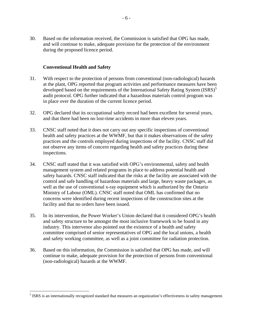30. Based on the information received, the Commission is satisfied that OPG has made, and will continue to make, adequate provision for the protection of the environment during the proposed licence period.

#### **Conventional Health and Safety**

 $\overline{a}$ 

- 31. With respect to the protection of persons from conventional (non-radiological) hazards at the plant, OPG reported that program activities and performance measures have been developed based on the requirements of the International Safety Rating System (ISRS)<sup>5</sup> audit protocol. OPG further indicated that a hazardous materials control program was in place over the duration of the current licence period.
- 32. OPG declared that its occupational safety record had been excellent for several years, and that there had been no lost-time accidents in more than eleven years.
- 33. CNSC staff noted that it does not carry out any specific inspections of conventional health and safety practices at the WWMF, but that it makes observations of the safety practices and the controls employed during inspections of the facility. CNSC staff did not observe any items of concern regarding health and safety practices during these inspections.
- 34. CNSC staff stated that it was satisfied with OPG's environmental, safety and health management system and related programs in place to address potential health and safety hazards. CNSC staff indicated that the risks at the facility are associated with the control and safe handling of hazardous materials and large, heavy waste packages, as well as the use of conventional x-ray equipment which is authorized by the Ontario Ministry of Labour (OML). CNSC staff noted that OML has confirmed that no concerns were identified during recent inspections of the construction sites at the facility and that no orders have been issued.
- 35. In its intervention, the Power Worker's Union declared that it considered OPG's health and safety structure to be amongst the most inclusive framework to be found in any industry. This intervenor also pointed out the existence of a health and safety committee comprised of senior representatives of OPG and the local unions, a health and safety working committee, as well as a joint committee for radiation protection.
- 36. Based on this information, the Commission is satisfied that OPG has made, and will continue to make, adequate provision for the protection of persons from conventional (non-radiological) hazards at the WWMF.

 $<sup>5</sup>$  ISRS is an internationally recognized standard that measures an organization's effectiveness in safety management.</sup>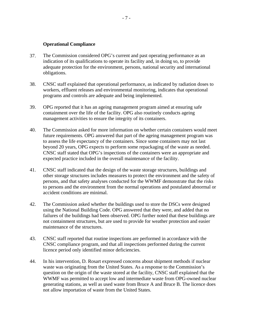#### **Operational Compliance**

- 37. The Commission considered OPG's current and past operating performance as an indication of its qualifications to operate its facility and, in doing so, to provide adequate protection for the environment, persons, national security and international obligations.
- 38. CNSC staff explained that operational performance, as indicated by radiation doses to workers, effluent releases and environmental monitoring, indicates that operational programs and controls are adequate and being implemented.
- 39. OPG reported that it has an ageing management program aimed at ensuring safe containment over the life of the facility. OPG also routinely conducts ageing management activities to ensure the integrity of its containers.
- 40. The Commission asked for more information on whether certain containers would meet future requirements. OPG answered that part of the ageing management program was to assess the life expectancy of the containers. Since some containers may not last beyond 20 years, OPG expects to perform some repackaging of the waste as needed. CNSC staff stated that OPG's inspections of the containers were an appropriate and expected practice included in the overall maintenance of the facility.
- 41. CNSC staff indicated that the design of the waste storage structures, buildings and other storage structures includes measures to protect the environment and the safety of persons, and that safety analyses conducted for the WWMF demonstrate that the risks to persons and the environment from the normal operations and postulated abnormal or accident conditions are minimal.
- 42. The Commission asked whether the buildings used to store the DSCs were designed using the National Building Code. OPG answered that they were, and added that no failures of the buildings had been observed. OPG further noted that these buildings are not containment structures, but are used to provide for weather protection and easier maintenance of the structures.
- 43. CNSC staff reported that routine inspections are performed in accordance with the CNSC compliance program, and that all inspections performed during the current licence period only identified minor deficiencies.
- 44. In his intervention, D. Rosart expressed concerns about shipment methods if nuclear waste was originating from the United States. As a response to the Commission's question on the origin of the waste stored at the facility, CNSC staff explained that the WWMF was permitted to accept low and intermediate waste from OPG-owned nuclear generating stations, as well as used waste from Bruce A and Bruce B. The licence does not allow importation of waste from the United States.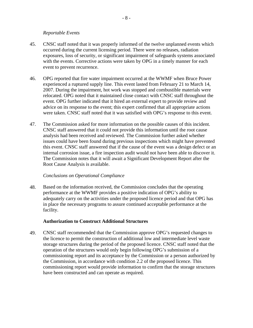#### *Reportable Events*

- 45. CNSC staff noted that it was properly informed of the twelve unplanned events which occurred during the current licensing period. There were no releases, radiation exposures, loss of security, or significant impairment of safeguards systems associated with the events. Corrective actions were taken by OPG in a timely manner for each event to prevent recurrence.
- 46. OPG reported that fire water impairment occurred at the WWMF when Bruce Power experienced a ruptured supply line. This event lasted from February 21 to March 14, 2007. During the impairment, hot work was stopped and combustible materials were relocated. OPG noted that it maintained close contact with CNSC staff throughout the event. OPG further indicated that it hired an external expert to provide review and advice on its response to the event; this expert confirmed that all appropriate actions were taken. CNSC staff noted that it was satisfied with OPG's response to this event.
- 47. The Commission asked for more information on the possible causes of this incident. CNSC staff answered that it could not provide this information until the root cause analysis had been received and reviewed. The Commission further asked whether issues could have been found during previous inspections which might have prevented this event. CNSC staff answered that if the cause of the event was a design defect or an internal corrosion issue, a fire inspection audit would not have been able to discover it. The Commission notes that it will await a Significant Development Report after the Root Cause Analysis is available.

#### *Conclusions on Operational Compliance*

48. Based on the information received, the Commission concludes that the operating performance at the WWMF provides a positive indication of OPG's ability to adequately carry on the activities under the proposed licence period and that OPG has in place the necessary programs to assure continued acceptable performance at the facility.

#### **Authorization to Construct Additional Structures**

49. CNSC staff recommended that the Commission approve OPG's requested changes to the licence to permit the construction of additional low and intermediate level waste storage structures during the period of the proposed licence. CNSC staff noted that the operation of the structures would only begin following OPG's submission of a commissioning report and its acceptance by the Commission or a person authorized by the Commission, in accordance with condition 2.2 of the proposed licence. This commissioning report would provide information to confirm that the storage structures have been constructed and can operate as required.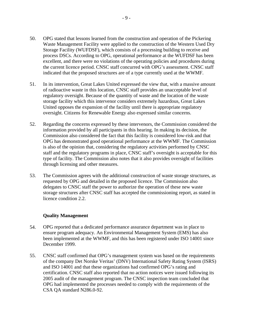- 50. OPG stated that lessons learned from the construction and operation of the Pickering Waste Management Facility were applied to the construction of the Western Used Dry Storage Facility (WUFDSF), which consists of a processing building to receive and process DSCs. According to OPG, operational performance at the WUFDSF has been excellent, and there were no violations of the operating policies and procedures during the current licence period. CNSC staff concurred with OPG's assessment. CNSC staff indicated that the proposed structures are of a type currently used at the WWMF.
- 51. In its intervention, Great Lakes United expressed the view that, with a massive amount of radioactive waste in this location, CNSC staff provides an unacceptable level of regulatory oversight. Because of the quantity of waste and the location of the waste storage facility which this intervenor considers extremely hazardous, Great Lakes United opposes the expansion of the facility until there is appropriate regulatory oversight. Citizens for Renewable Energy also expressed similar concerns.
- 52. Regarding the concerns expressed by these intervenors, the Commission considered the information provided by all participants in this hearing. In making its decision, the Commission also considered the fact that this facility is considered low-risk and that OPG has demonstrated good operational performance at the WWMF. The Commission is also of the opinion that, considering the regulatory activities performed by CNSC staff and the regulatory programs in place, CNSC staff's oversight is acceptable for this type of facility. The Commission also notes that it also provides oversight of facilities through licensing and other measures.
- 53. The Commission agrees with the additional construction of waste storage structures, as requested by OPG and detailed in the proposed licence. The Commission also delegates to CNSC staff the power to authorize the operation of these new waste storage structures after CNSC staff has accepted the commissioning report, as stated in licence condition 2.2.

#### **Quality Management**

- 54. OPG reported that a dedicated performance assurance department was in place to ensure program adequacy. An Environmental Management System (EMS) has also been implemented at the WWMF, and this has been registered under ISO 14001 since December 1999.
- 55. CNSC staff confirmed that OPG's management system was based on the requirements of the company Det Norske Veritas' (DNV) International Safety Rating System (ISRS) and ISO 14001 and that these organizations had confirmed OPG's rating and certification. CNSC staff also reported that no action notices were issued following its 2005 audit of the management program. The CNSC inspection team concluded that OPG had implemented the processes needed to comply with the requirements of the CSA QA standard N286.0-92.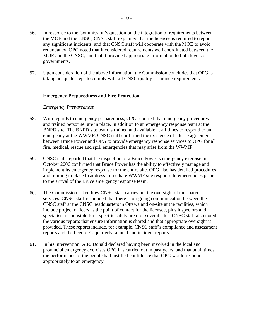- 56. In response to the Commission's question on the integration of requirements between the MOE and the CNSC, CNSC staff explained that the licensee is required to report any significant incidents, and that CNSC staff will cooperate with the MOE to avoid redundancy. OPG noted that it considered requirements well coordinated between the MOE and the CNSC, and that it provided appropriate information to both levels of governments.
- 57. Upon consideration of the above information, the Commission concludes that OPG is taking adequate steps to comply with all CNSC quality assurance requirements.

#### **Emergency Preparedness and Fire Protection**

#### *Emergency Preparedness*

- 58. With regards to emergency preparedness, OPG reported that emergency procedures and trained personnel are in place, in addition to an emergency response team at the BNPD site. The BNPD site team is trained and available at all times to respond to an emergency at the WWMF. CNSC staff confirmed the existence of a lease agreement between Bruce Power and OPG to provide emergency response services to OPG for all fire, medical, rescue and spill emergencies that may arise from the WWMF.
- 59. CNSC staff reported that the inspection of a Bruce Power's emergency exercise in October 2006 confirmed that Bruce Power has the ability to effectively manage and implement its emergency response for the entire site. OPG also has detailed procedures and training in place to address immediate WWMF site response to emergencies prior to the arrival of the Bruce emergency response team.
- 60. The Commission asked how CNSC staff carries out the oversight of the shared services. CNSC staff responded that there is on-going communication between the CNSC staff at the CNSC headquarters in Ottawa and on-site at the facilities, which include project officers as the point of contact for the licensee, plus inspectors and specialists responsible for a specific safety area for several sites. CNSC staff also noted the various reports that ensure information is shared and that appropriate oversight is provided. These reports include, for example, CNSC staff's compliance and assessment reports and the licensee's quarterly, annual and incident reports.
- 61. In his intervention, A.R. Donald declared having been involved in the local and provincial emergency exercises OPG has carried out in past years, and that at all times, the performance of the people had instilled confidence that OPG would respond appropriately to an emergency.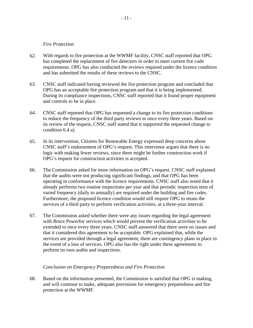#### *Fire Protection*

- 62. With regards to fire protection at the WWMF facility, CNSC staff reported that OPG has completed the replacement of fire detectors in order to meet current fire code requirements. OPG has also conducted the reviews required under the licence condition and has submitted the results of these reviews to the CNSC.
- 63. CNSC staff indicated having reviewed the fire protection program and concluded that OPG has an acceptable fire protection program and that it is being implemented. During its compliance inspections, CNSC staff reported that it found proper equipment and controls to be in place.
- 64. CNSC staff reported that OPG has requested a change to its fire protection conditions to reduce the frequency of the third party reviews to once every three years. Based on its review of the request, CNSC staff stated that it supported the requested change to condition 6.4 a).
- 65. In its intervention, Citizens for Renewable Energy expressed deep concerns about CNSC staff's endorsement of OPG's request. This intervenor argues that there is no logic with making fewer reviews, since there might be further construction work if OPG's request for construction activities is accepted.
- 66. The Commission asked for more information on OPG's request. CNSC staff explained that the audits were not producing significant findings, and that OPG has been operating in conformance with the licence requirements. CNSC staff also noted that it already performs two routine inspections per year and that periodic inspection tests of varied frequency (daily to annually) are required under the building and fire codes. Furthermore, the proposed licence condition would still require OPG to retain the services of a third party to perform verification activities, at a three-year interval.
- 67. The Commission asked whether there were any issues regarding the legal agreement with Bruce Powerfor services which would prevent the verification activities to be extended to once every three years. CNSC staff answered that there were no issues and that it considered this agreement to be acceptable. OPG explained that, while the services are provided through a legal agreement, there are contingency plans in place in the event of a loss of services. OPG also has the right under these agreements to perform its own audits and inspections.

#### *Conclusion on Emergency Preparedness and Fire Protection*

68. Based on the information presented, the Commission is satisfied that OPG is making, and will continue to make, adequate provisions for emergency preparedness and fire protection at the WWMF.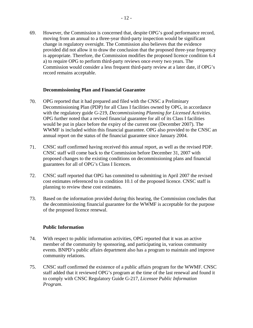69. However, the Commission is concerned that, despite OPG's good performance record, moving from an annual to a three-year third-party inspection would be significant change in regulatory oversight. The Commission also believes that the evidence provided did not allow it to draw the conclusion that the proposed three-year frequency is appropriate. Therefore, the Commission modifies the proposed licence condition 6.4 a) to require OPG to perform third-party reviews once every two years. The Commission would consider a less frequent third-party review at a later date, if OPG's record remains acceptable.

#### **Decommissioning Plan and Financial Guarantee**

- 70. OPG reported that it had prepared and filed with the CNSC a Preliminary Decommissioning Plan (PDP) for all Class I facilities owned by OPG, in accordance with the regulatory guide G-219, *Decommissioning Planning for Licensed Activities*. OPG further noted that a revised financial guarantee for all of its Class I facilities would be put in place before the expiry of the current one (December 2007). The WWMF is included within this financial guarantee. OPG also provided to the CNSC an annual report on the status of the financial guarantee since January 2004.
- 71. CNSC staff confirmed having received this annual report, as well as the revised PDP. CNSC staff will come back to the Commission before December 31, 2007 with proposed changes to the existing conditions on decommissioning plans and financial guarantees for all of OPG's Class I licences.
- 72. CNSC staff reported that OPG has committed to submitting in April 2007 the revised cost estimates referenced to in condition 10.1 of the proposed licence. CNSC staff is planning to review these cost estimates.
- 73. Based on the information provided during this hearing, the Commission concludes that the decommissioning financial guarantee for the WWMF is acceptable for the purpose of the proposed licence renewal.

#### **Public Information**

- 74. With respect to public information activities, OPG reported that it was an active member of the community by sponsoring, and participating in, various community events. BNPD's public affairs department also has a program to maintain and improve community relations.
- 75. CNSC staff confirmed the existence of a public affairs program for the WWMF. CNSC staff added that it reviewed OPG's program at the time of the last renewal and found it to comply with CNSC Regulatory Guide G-217, *Licensee Public Information Program*.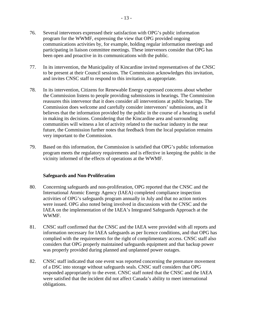- 76. Several intervenors expressed their satisfaction with OPG's public information program for the WWMF, expressing the view that OPG provided ongoing communications activities by, for example, holding regular information meetings and participating in liaison committee meetings. These intervenors consider that OPG has been open and proactive in its communications with the public.
- 77. In its intervention, the Municipality of Kincardine invited representatives of the CNSC to be present at their Council sessions. The Commission acknowledges this invitation, and invites CNSC staff to respond to this invitation, as appropriate.
- 78. In its intervention, Citizens for Renewable Energy expressed concerns about whether the Commission listens to people providing submissions in hearings. The Commission reassures this intervenor that it does consider all interventions at public hearings. The Commission does welcome and carefully consider intervenors' submissions, and it believes that the information provided by the public in the course of a hearing is useful in making its decisions. Considering that the Kincardine area and surrounding communities will witness a lot of activity related to the nuclear industry in the near future, the Commission further notes that feedback from the local population remains very important to the Commission.
- 79. Based on this information, the Commission is satisfied that OPG's public information program meets the regulatory requirements and is effective in keeping the public in the vicinity informed of the effects of operations at the WWMF.

#### **Safeguards and Non-Proliferation**

- 80. Concerning safeguards and non-proliferation, OPG reported that the CNSC and the International Atomic Energy Agency (IAEA) completed compliance inspection activities of OPG's safeguards program annually in July and that no action notices were issued. OPG also noted being involved in discussions with the CNSC and the IAEA on the implementation of the IAEA's Integrated Safeguards Approach at the WWMF.
- 81. CNSC staff confirmed that the CNSC and the IAEA were provided with all reports and information necessary for IAEA safeguards as per licence conditions, and that OPG has complied with the requirements for the right of complimentary access. CNSC staff also considers that OPG properly maintained safeguards equipment and that backup power was properly provided during planned and unplanned power outages.
- 82. CNSC staff indicated that one event was reported concerning the premature movement of a DSC into storage without safeguards seals. CNSC staff considers that OPG responded appropriately to the event. CNSC staff noted that the CNSC and the IAEA were satisfied that the incident did not affect Canada's ability to meet international obligations.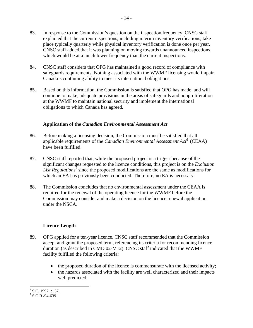- 83. In response to the Commission's question on the inspection frequency, CNSC staff explained that the current inspections, including interim inventory verifications, take place typically quarterly while physical inventory verification is done once per year. CNSC staff added that it was planning on moving towards unannounced inspections, which would be at a much lower frequency than the current inspections.
- 84. CNSC staff considers that OPG has maintained a good record of compliance with safeguards requirements. Nothing associated with the WWMF licensing would impair Canada's continuing ability to meet its international obligations.
- 85. Based on this information, the Commission is satisfied that OPG has made, and will continue to make, adequate provisions in the areas of safeguards and nonproliferation at the WWMF to maintain national security and implement the international obligations to which Canada has agreed.

#### **Application of the** *Canadian Environmental Assessment Act*

- 86. Before making a licensing decision, the Commission must be satisfied that all applicable requirements of the *Canadian Environmental Assessment Act*<sup>6</sup> (CEAA) have been fulfilled.
- 87. CNSC staff reported that, while the proposed project is a trigger because of the significant changes requested to the licence conditions, this project is on the *Exclusion*  List Regulations<sup>7</sup> since the proposed modifications are the same as modifications for which an EA has previously been conducted. Therefore, no EA is necessary.
- 88. The Commission concludes that no environmental assessment under the CEAA is required for the renewal of the operating licence for the WWMF before the Commission may consider and make a decision on the licence renewal application under the NSCA.

#### **Licence Length**

- 89. OPG applied for a ten-year licence. CNSC staff recommended that the Commission accept and grant the proposed term, referencing its criteria for recommending licence duration (as described in CMD 02-M12). CNSC staff indicated that the WWMF facility fulfilled the following criteria:
	- the proposed duration of the licence is commensurate with the licensed activity;
	- the hazards associated with the facility are well characterized and their impacts well predicted;

 6 S.C. 1992, c. 37.

 $7$  S.O.R./94-639.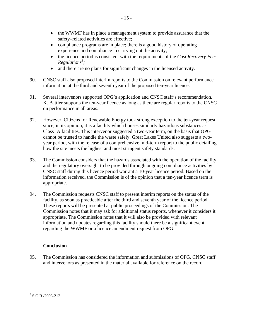- the WWMF has in place a management system to provide assurance that the safety–related activities are effective;
- compliance programs are in place; there is a good history of operating experience and compliance in carrying out the activity;
- the licence period is consistent with the requirements of the *Cost Recovery Fees Regulations*<sup>8</sup> *;*
- and there are no plans for significant changes in the licensed activity.
- 90. CNSC staff also proposed interim reports to the Commission on relevant performance information at the third and seventh year of the proposed ten-year licence.
- 91. Several intervenors supported OPG's application and CNSC staff's recommendation. K. Battler supports the ten-year licence as long as there are regular reports to the CNSC on performance in all areas.
- 92. However, Citizens for Renewable Energy took strong exception to the ten-year request since, in its opinion, it is a facility which houses similarly hazardous substances as Class IA facilities. This intervenor suggested a two-year term, on the basis that OPG cannot be trusted to handle the waste safely. Great Lakes United also suggests a twoyear period, with the release of a comprehensive mid-term report to the public detailing how the site meets the highest and most stringent safety standards.
- 93. The Commission considers that the hazards associated with the operation of the facility and the regulatory oversight to be provided through ongoing compliance activities by CNSC staff during this licence period warrant a 10-year licence period. Based on the information received, the Commission is of the opinion that a ten-year licence term is appropriate.
- 94. The Commission requests CNSC staff to present interim reports on the status of the facility, as soon as practicable after the third and seventh year of the licence period. These reports will be presented at public proceedings of the Commission. The Commission notes that it may ask for additional status reports, whenever it considers it appropriate. The Commission notes that it will also be provided with relevant information and updates regarding this facility should there be a significant event regarding the WWMF or a licence amendment request from OPG.

### **Conclusion**

95. The Commission has considered the information and submissions of OPG, CNSC staff and intervenors as presented in the material available for reference on the record.

 <sup>8</sup>  $8$  S.O.R./2003-212.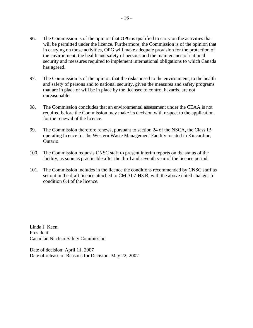- 96. The Commission is of the opinion that OPG is qualified to carry on the activities that will be permitted under the licence. Furthermore, the Commission is of the opinion that in carrying on those activities, OPG will make adequate provision for the protection of the environment, the health and safety of persons and the maintenance of national security and measures required to implement international obligations to which Canada has agreed.
- 97. The Commission is of the opinion that the risks posed to the environment, to the health and safety of persons and to national security, given the measures and safety programs that are in place or will be in place by the licensee to control hazards, are not unreasonable.
- 98. The Commission concludes that an environmental assessment under the CEAA is not required before the Commission may make its decision with respect to the application for the renewal of the licence.
- 99. The Commission therefore renews, pursuant to section 24 of the NSCA, the Class IB operating licence for the Western Waste Management Facility located in Kincardine, Ontario.
- 100. The Commission requests CNSC staff to present interim reports on the status of the facility, as soon as practicable after the third and seventh year of the licence period.
- 101. The Commission includes in the licence the conditions recommended by CNSC staff as set out in the draft licence attached to CMD 07-H3.B, with the above noted changes to condition 6.4 of the licence.

Linda J. Keen, President Canadian Nuclear Safety Commission

Date of decision: April 11, 2007 Date of release of Reasons for Decision: May 22, 2007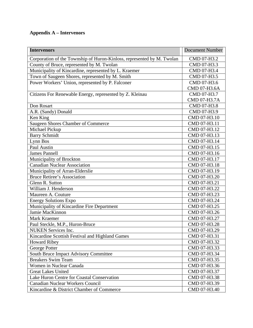# **Appendix A – Intervenors**

| <b>Intervenors</b>                                                     | <b>Document Number</b> |
|------------------------------------------------------------------------|------------------------|
| Corporation of the Township of Huron-Kinloss, represented by M. Twolan | CMD 07-H3.2            |
| County of Bruce, represented by M. Twolan                              | CMD 07-H3.3            |
| Municipality of Kincardine, represented by L. Kraemer                  | CMD 07-H3.4            |
| Town of Saugeen Shores, represented by M. Smith                        | CMD 07-H3.5            |
| Power Workers' Union, represented by P. Falconer                       | CMD 07-H3.6            |
|                                                                        | CMD 07-H3.6A           |
| Citizens For Renewable Energy, represented by Z. Kleinau               | CMD 07-H3.7            |
|                                                                        | CMD 07-H3.7A           |
| Don Rosart                                                             | CMD 07-H3.8            |
| A.R. (Sandy) Donald                                                    | CMD 07-H3.9            |
| Ken King                                                               | CMD 07-H3.10           |
| Saugeen Shores Chamber of Commerce                                     | CMD 07-H3.11           |
| Michael Pickup                                                         | CMD 07-H3.12           |
| <b>Barry Schmidt</b>                                                   | CMD 07-H3.13           |
| Lynn Bos                                                               | CMD 07-H3.14           |
| Paul Austin                                                            | CMD 07-H3.15           |
| <b>James Pannell</b>                                                   | CMD 07-H3.16           |
| Municipality of Brockton                                               | CMD 07-H3.17           |
| <b>Canadian Nuclear Association</b>                                    | CMD 07-H3.18           |
| Municipality of Arran-Elderslie                                        | CMD 07-H3.19           |
| <b>Bruce Retiree's Association</b>                                     | CMD 07-H3.20           |
| Glenn R. Sutton                                                        | CMD 07-H3.21           |
| William J. Henderson                                                   | CMD 07-H3.22           |
| Maureen A. Couture                                                     | CMD 07-H3.23           |
| <b>Energy Solutions Expo</b>                                           | CMD 07-H3.24           |
| Municipality of Kincardine Fire Department                             | CMD 07-H3.25           |
| Jamie MacKinnon                                                        | CMD 07-H3.26           |
| Mark Kraemer                                                           | CMD 07-H3.27           |
| Paul Steckle, M.P., Huron-Bruce                                        | CMD 07-H3.28           |
| <b>NUKEN Services Inc.</b>                                             | CMD 07-H3.29           |
| Kincardine Scottish Festival and Highland Games                        | CMD 07-H3.31           |
| <b>Howard Ribey</b>                                                    | CMD 07-H3.32           |
| George Potter                                                          | CMD 07-H3.33           |
| South Bruce Impact Advisory Committee                                  | CMD 07-H3.34           |
| <b>Breakers Swim Team</b>                                              | CMD 07-H3.35           |
| Women in Nuclear Canada                                                | CMD 07-H3.36           |
| <b>Great Lakes United</b>                                              | CMD 07-H3.37           |
| Lake Huron Centre for Coastal Conservation                             | CMD 07-H3.38           |
| <b>Canadian Nuclear Workers Council</b>                                | CMD 07-H3.39           |
| Kincardine & District Chamber of Commerce                              | CMD 07-H3.40           |